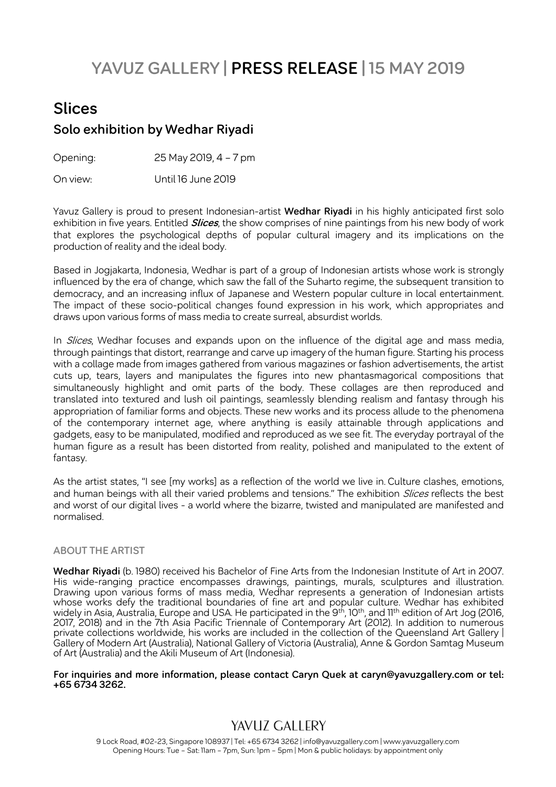# **YAVUZ GALLERY | PRESS RELEASE | 15 MAY 2019**

## **Slices Solo exhibition by Wedhar Riyadi**

Opening: 25 May 2019, 4 – 7 pm

On view: Until 16 June 2019

Yavuz Gallery is proud to present Indonesian-artist **Wedhar Riyadi** in his highly anticipated first solo exhibition in five years. Entitled **Slices**, the show comprises of nine paintings from his new body of work that explores the psychological depths of popular cultural imagery and its implications on the production of reality and the ideal body.

Based in Jogjakarta, Indonesia, Wedhar is part of a group of Indonesian artists whose work is strongly influenced by the era of change, which saw the fall of the Suharto regime, the subsequent transition to democracy, and an increasing influx of Japanese and Western popular culture in local entertainment. The impact of these socio-political changes found expression in his work, which appropriates and draws upon various forms of mass media to create surreal, absurdist worlds.

In *Slices*, Wedhar focuses and expands upon on the influence of the digital age and mass media, through paintings that distort, rearrange and carve up imagery of the human figure. Starting his process with a collage made from images gathered from various magazines or fashion advertisements, the artist cuts up, tears, layers and manipulates the figures into new phantasmagorical compositions that simultaneously highlight and omit parts of the body. These collages are then reproduced and translated into textured and lush oil paintings, seamlessly blending realism and fantasy through his appropriation of familiar forms and objects. These new works and its process allude to the phenomena of the contemporary internet age, where anything is easily attainable through applications and gadgets, easy to be manipulated, modified and reproduced as we see fit. The everyday portrayal of the human figure as a result has been distorted from reality, polished and manipulated to the extent of fantasy.

As the artist states, "I see [my works] as a reflection of the world we live in. Culture clashes, emotions, and human beings with all their varied problems and tensions." The exhibition *Slices* reflects the best and worst of our digital lives - a world where the bizarre, twisted and manipulated are manifested and normalised.

#### **ABOUT THE ARTIST**

**Wedhar Riyadi** (b. 1980) received his Bachelor of Fine Arts from the Indonesian Institute of Art in 2007. His wide-ranging practice encompasses drawings, paintings, murals, sculptures and illustration. Drawing upon various forms of mass media, Wedhar represents a generation of Indonesian artists whose works defy the traditional boundaries of fine art and popular culture. Wedhar has exhibited widely in Asia, Australia, Europe and USA. He participated in the 9<sup>th</sup>, 10<sup>th</sup>, and 11<sup>th</sup> edition of Art Jog (2016, 2017, 2018) and in the 7th Asia Pacific Triennale of Contemporary Art (2012). In addition to numerous private collections worldwide, his works are included in the collection of the Queensland Art Gallery | Gallery of Modern Art (Australia), National Gallery of Victoria (Australia), Anne & Gordon Samtag Museum of Art (Australia) and the Akili Museum of Art (Indonesia).

**For inquiries and more information, please contact Caryn Quek at caryn@yavuzgallery.com or tel: +65 6734 3262.**

#### YAVUZ GALLERY

9 Lock Road, #02-23, Singapore 108937 | Tel: +65 6734 3262 | info@yavuzgallery.com | www.yavuzgallery.com Opening Hours: Tue – Sat: 11am – 7pm, Sun: 1pm – 5pm | Mon & public holidays: by appointment only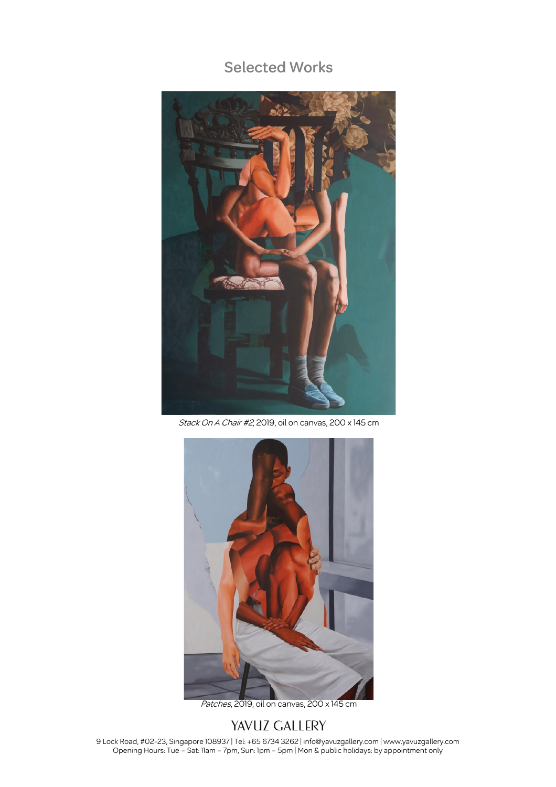#### **Selected Works**



Stack On A Chair #2, 2019, oil on canvas, 200 x 145 cm



Patches, 2019, oil on canvas, 200 x 145 cm

#### YAVUZ GALLERY

9 Lock Road, #02-23, Singapore 108937 | Tel: +65 6734 3262 | info@yavuzgallery.com | www.yavuzgallery.com Opening Hours: Tue – Sat: 11am – 7pm, Sun: 1pm – 5pm | Mon & public holidays: by appointment only